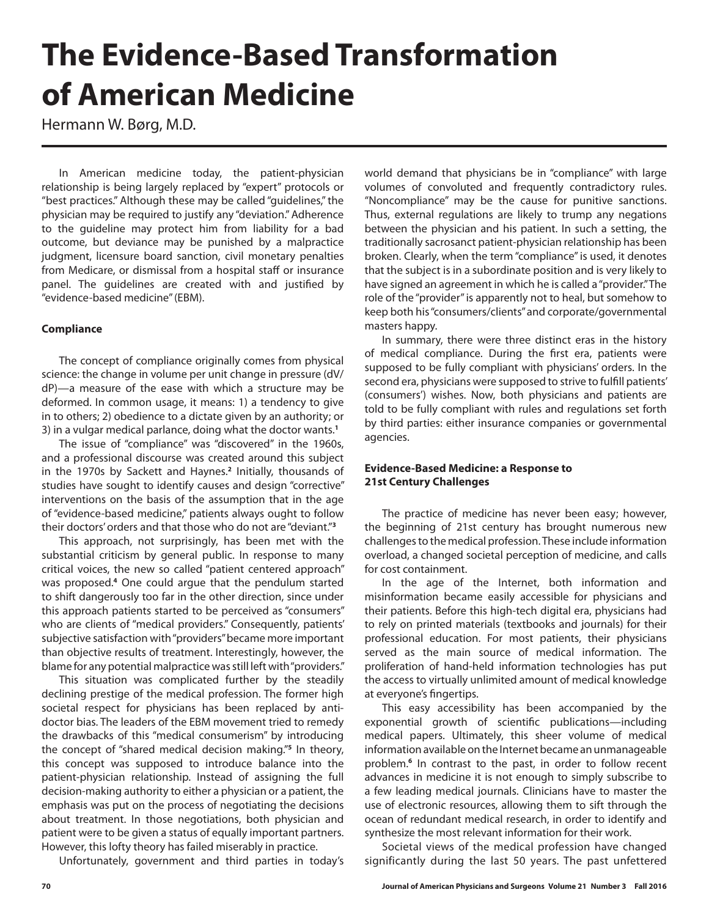# **The Evidence-Based Transformation of American Medicine**

Hermann W. Børg, M.D.

In American medicine today, the patient-physician relationship is being largely replaced by "expert" protocols or "best practices." Although these may be called "guidelines," the physician may be required to justify any "deviation." Adherence to the guideline may protect him from liability for a bad outcome, but deviance may be punished by a malpractice judgment, licensure board sanction, civil monetary penalties from Medicare, or dismissal from a hospital staff or insurance panel. The guidelines are created with and justified by "evidence-based medicine" (EBM).

#### **Compliance**

The concept of compliance originally comes from physical science: the change in volume per unit change in pressure (dV/ dP)—a measure of the ease with which a structure may be deformed. In common usage, it means: 1) a tendency to give in to others; 2) obedience to a dictate given by an authority; or 3) in a vulgar medical parlance, doing what the doctor wants.**<sup>1</sup>**

The issue of "compliance" was "discovered" in the 1960s, and a professional discourse was created around this subject in the 1970s by Sackett and Haynes.**<sup>2</sup>** Initially, thousands of studies have sought to identify causes and design "corrective" interventions on the basis of the assumption that in the age of "evidence-based medicine," patients always ought to follow their doctors' orders and that those who do not are "deviant."**<sup>3</sup>**

This approach, not surprisingly, has been met with the substantial criticism by general public. In response to many critical voices, the new so called "patient centered approach" was proposed.**<sup>4</sup>** One could argue that the pendulum started to shift dangerously too far in the other direction, since under this approach patients started to be perceived as "consumers" who are clients of "medical providers." Consequently, patients' subjective satisfaction with "providers" became more important than objective results of treatment. Interestingly, however, the blame for any potential malpractice was still left with "providers."

This situation was complicated further by the steadily declining prestige of the medical profession. The former high societal respect for physicians has been replaced by antidoctor bias. The leaders of the EBM movement tried to remedy the drawbacks of this "medical consumerism" by introducing the concept of "shared medical decision making."**<sup>5</sup>** In theory, this concept was supposed to introduce balance into the patient-physician relationship. Instead of assigning the full decision-making authority to either a physician or a patient, the emphasis was put on the process of negotiating the decisions about treatment. In those negotiations, both physician and patient were to be given a status of equally important partners. However, this lofty theory has failed miserably in practice.

Unfortunately, government and third parties in today's

world demand that physicians be in "compliance" with large volumes of convoluted and frequently contradictory rules. "Noncompliance" may be the cause for punitive sanctions. Thus, external regulations are likely to trump any negations between the physician and his patient. In such a setting, the traditionally sacrosanct patient-physician relationship has been broken. Clearly, when the term "compliance" is used, it denotes that the subject is in a subordinate position and is very likely to have signed an agreement in which he is called a "provider." The role of the "provider" is apparently not to heal, but somehow to keep both his "consumers/clients" and corporate/governmental masters happy.

In summary, there were three distinct eras in the history of medical compliance. During the first era, patients were supposed to be fully compliant with physicians' orders. In the second era, physicians were supposed to strive to fulfill patients' (consumers') wishes. Now, both physicians and patients are told to be fully compliant with rules and regulations set forth by third parties: either insurance companies or governmental agencies.

#### **Evidence-Based Medicine: a Response to 21st Century Challenges**

The practice of medicine has never been easy; however, the beginning of 21st century has brought numerous new challenges to the medical profession. These include information overload, a changed societal perception of medicine, and calls for cost containment.

In the age of the Internet, both information and misinformation became easily accessible for physicians and their patients. Before this high-tech digital era, physicians had to rely on printed materials (textbooks and journals) for their professional education. For most patients, their physicians served as the main source of medical information. The proliferation of hand-held information technologies has put the access to virtually unlimited amount of medical knowledge at everyone's fingertips.

This easy accessibility has been accompanied by the exponential growth of scientific publications—including medical papers. Ultimately, this sheer volume of medical information available on the Internet became an unmanageable problem.**<sup>6</sup>** In contrast to the past, in order to follow recent advances in medicine it is not enough to simply subscribe to a few leading medical journals. Clinicians have to master the use of electronic resources, allowing them to sift through the ocean of redundant medical research, in order to identify and synthesize the most relevant information for their work.

Societal views of the medical profession have changed significantly during the last 50 years. The past unfettered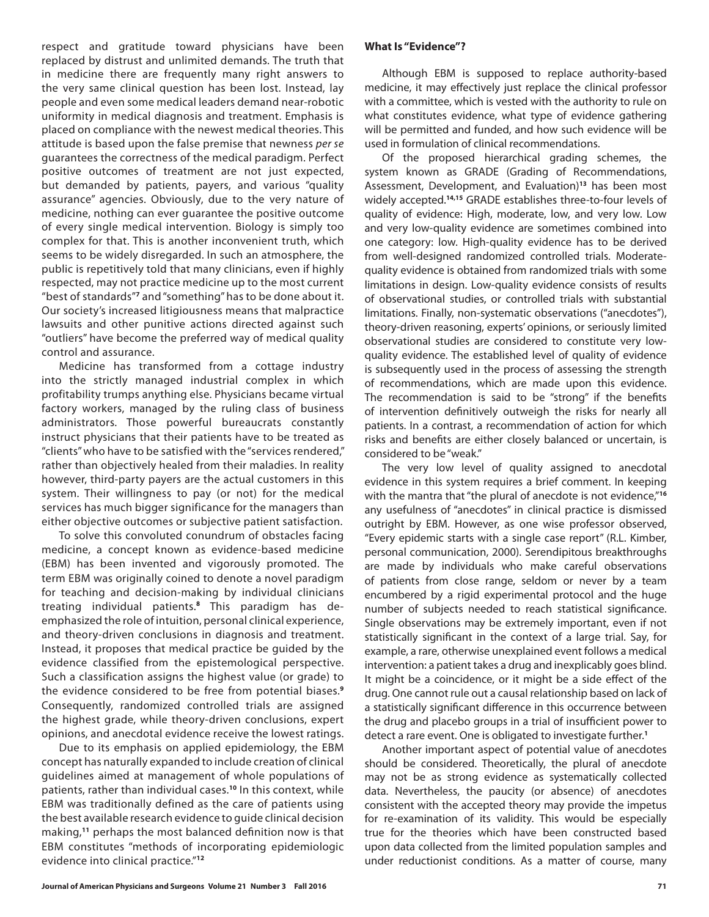respect and gratitude toward physicians have been replaced by distrust and unlimited demands. The truth that in medicine there are frequently many right answers to the very same clinical question has been lost. Instead, lay people and even some medical leaders demand near-robotic uniformity in medical diagnosis and treatment. Emphasis is placed on compliance with the newest medical theories. This attitude is based upon the false premise that newness *per se* guarantees the correctness of the medical paradigm. Perfect positive outcomes of treatment are not just expected, but demanded by patients, payers, and various "quality assurance" agencies. Obviously, due to the very nature of medicine, nothing can ever guarantee the positive outcome of every single medical intervention. Biology is simply too complex for that. This is another inconvenient truth, which seems to be widely disregarded. In such an atmosphere, the public is repetitively told that many clinicians, even if highly respected, may not practice medicine up to the most current "best of standards"**<sup>7</sup>** and "something" has to be done about it. Our society's increased litigiousness means that malpractice lawsuits and other punitive actions directed against such "outliers" have become the preferred way of medical quality control and assurance.

Medicine has transformed from a cottage industry into the strictly managed industrial complex in which profitability trumps anything else. Physicians became virtual factory workers, managed by the ruling class of business administrators. Those powerful bureaucrats constantly instruct physicians that their patients have to be treated as "clients" who have to be satisfied with the "services rendered," rather than objectively healed from their maladies. In reality however, third-party payers are the actual customers in this system. Their willingness to pay (or not) for the medical services has much bigger significance for the managers than either objective outcomes or subjective patient satisfaction.

To solve this convoluted conundrum of obstacles facing medicine, a concept known as evidence-based medicine (EBM) has been invented and vigorously promoted. The term EBM was originally coined to denote a novel paradigm for teaching and decision-making by individual clinicians treating individual patients.**8** This paradigm has deemphasized the role of intuition, personal clinical experience, and theory-driven conclusions in diagnosis and treatment. Instead, it proposes that medical practice be guided by the evidence classified from the epistemological perspective. Such a classification assigns the highest value (or grade) to the evidence considered to be free from potential biases.**<sup>9</sup>** Consequently, randomized controlled trials are assigned the highest grade, while theory-driven conclusions, expert opinions, and anecdotal evidence receive the lowest ratings.

Due to its emphasis on applied epidemiology, the EBM concept has naturally expanded to include creation of clinical guidelines aimed at management of whole populations of patients, rather than individual cases.**<sup>10</sup>** In this context, while EBM was traditionally defined as the care of patients using the best available research evidence to guide clinical decision making,**<sup>11</sup>** perhaps the most balanced definition now is that EBM constitutes "methods of incorporating epidemiologic evidence into clinical practice."**<sup>12</sup>**

#### **What Is "Evidence"?**

Although EBM is supposed to replace authority-based medicine, it may effectively just replace the clinical professor with a committee, which is vested with the authority to rule on what constitutes evidence, what type of evidence gathering will be permitted and funded, and how such evidence will be used in formulation of clinical recommendations.

Of the proposed hierarchical grading schemes, the system known as GRADE (Grading of Recommendations, Assessment, Development, and Evaluation)**<sup>13</sup>** has been most widely accepted.**14,15** GRADE establishes three-to-four levels of quality of evidence: High, moderate, low, and very low. Low and very low-quality evidence are sometimes combined into one category: low. High-quality evidence has to be derived from well-designed randomized controlled trials. Moderatequality evidence is obtained from randomized trials with some limitations in design. Low-quality evidence consists of results of observational studies, or controlled trials with substantial limitations. Finally, non-systematic observations ("anecdotes"), theory-driven reasoning, experts' opinions, or seriously limited observational studies are considered to constitute very lowquality evidence. The established level of quality of evidence is subsequently used in the process of assessing the strength of recommendations, which are made upon this evidence. The recommendation is said to be "strong" if the benefits of intervention definitively outweigh the risks for nearly all patients. In a contrast, a recommendation of action for which risks and benefits are either closely balanced or uncertain, is considered to be "weak."

The very low level of quality assigned to anecdotal evidence in this system requires a brief comment. In keeping with the mantra that "the plural of anecdote is not evidence,"**<sup>16</sup>** any usefulness of "anecdotes" in clinical practice is dismissed outright by EBM. However, as one wise professor observed, "Every epidemic starts with a single case report" (R.L. Kimber, personal communication, 2000). Serendipitous breakthroughs are made by individuals who make careful observations of patients from close range, seldom or never by a team encumbered by a rigid experimental protocol and the huge number of subjects needed to reach statistical significance. Single observations may be extremely important, even if not statistically significant in the context of a large trial. Say, for example, a rare, otherwise unexplained event follows a medical intervention: a patient takes a drug and inexplicably goes blind. It might be a coincidence, or it might be a side effect of the drug. One cannot rule out a causal relationship based on lack of a statistically significant difference in this occurrence between the drug and placebo groups in a trial of insufficient power to detect a rare event. One is obligated to investigate further.**<sup>1</sup>**

Another important aspect of potential value of anecdotes should be considered. Theoretically, the plural of anecdote may not be as strong evidence as systematically collected data. Nevertheless, the paucity (or absence) of anecdotes consistent with the accepted theory may provide the impetus for re-examination of its validity. This would be especially true for the theories which have been constructed based upon data collected from the limited population samples and under reductionist conditions. As a matter of course, many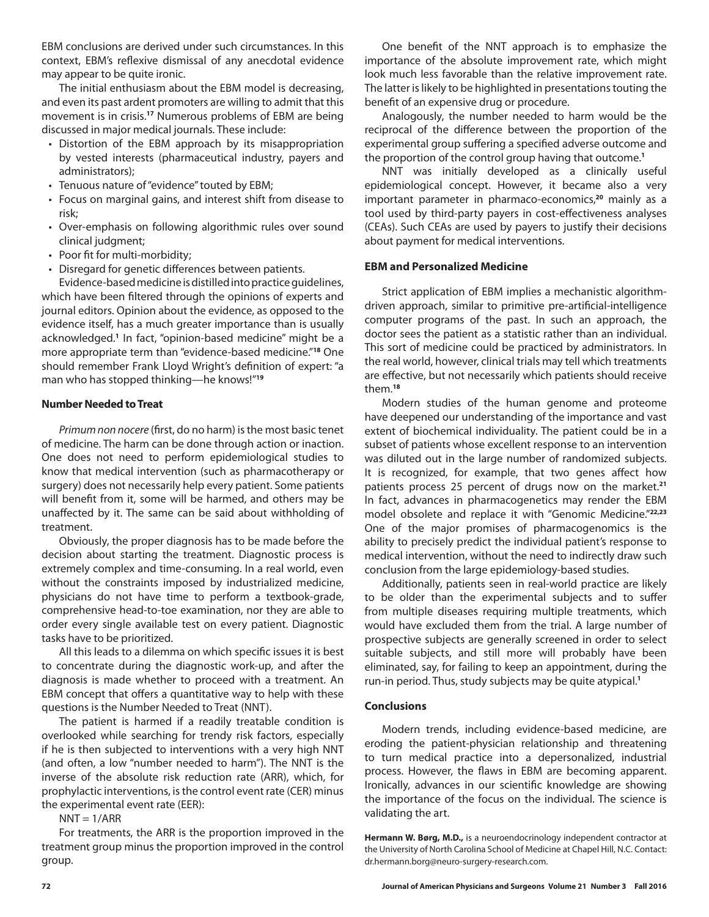EBM conclusions are derived under such circumstances. In this context, EBM's reflexive dismissal of any anecdotal evidence may appear to be quite ironic.

The initial enthusiasm about the EBM model is decreasing, and even its past ardent promoters are willing to admit that this movement is in crisis.**<sup>17</sup>** Numerous problems of EBM are being discussed in major medical journals. These include:

- Distortion of the EBM approach by its misappropriation by vested interests (pharmaceutical industry, payers and administrators);
- Tenuous nature of "evidence" touted by EBM;
- Focus on marginal gains, and interest shift from disease to risk;
- Over-emphasis on following algorithmic rules over sound clinical judgment;
- Poor fit for multi-morbidity;
- Disregard for genetic differences between patients.

Evidence-based medicine is distilled into practice guidelines, which have been filtered through the opinions of experts and journal editors. Opinion about the evidence, as opposed to the evidence itself, has a much greater importance than is usually acknowledged.**<sup>1</sup>** In fact, "opinion-based medicine" might be a more appropriate term than "evidence-based medicine."**<sup>18</sup>** One should remember Frank Lloyd Wright's definition of expert: "a man who has stopped thinking—he knows!"**<sup>19</sup>**

#### **Number Needed to Treat**

*Primum non nocere* (first, do no harm) is the most basic tenet of medicine. The harm can be done through action or inaction. One does not need to perform epidemiological studies to know that medical intervention (such as pharmacotherapy or surgery) does not necessarily help every patient. Some patients will benefit from it, some will be harmed, and others may be unaffected by it. The same can be said about withholding of treatment.

Obviously, the proper diagnosis has to be made before the decision about starting the treatment. Diagnostic process is extremely complex and time-consuming. In a real world, even without the constraints imposed by industrialized medicine, physicians do not have time to perform a textbook-grade, comprehensive head-to-toe examination, nor they are able to order every single available test on every patient. Diagnostic tasks have to be prioritized.

All this leads to a dilemma on which specific issues it is best to concentrate during the diagnostic work-up, and after the diagnosis is made whether to proceed with a treatment. An EBM concept that offers a quantitative way to help with these questions is the Number Needed to Treat (NNT).

The patient is harmed if a readily treatable condition is overlooked while searching for trendy risk factors, especially if he is then subjected to interventions with a very high NNT (and often, a low "number needed to harm"). The NNT is the inverse of the absolute risk reduction rate (ARR), which, for prophylactic interventions, is the control event rate (CER) minus the experimental event rate (EER):

 $NNT = 1/ARR$ 

For treatments, the ARR is the proportion improved in the treatment group minus the proportion improved in the control group.

One benefit of the NNT approach is to emphasize the importance of the absolute improvement rate, which might look much less favorable than the relative improvement rate. The latter is likely to be highlighted in presentations touting the benefit of an expensive drug or procedure.

Analogously, the number needed to harm would be the reciprocal of the difference between the proportion of the experimental group suffering a specified adverse outcome and the proportion of the control group having that outcome.**<sup>1</sup>**

NNT was initially developed as a clinically useful epidemiological concept. However, it became also a very important parameter in pharmaco-economics,**<sup>20</sup>** mainly as a tool used by third-party payers in cost-effectiveness analyses (CEAs). Such CEAs are used by payers to justify their decisions about payment for medical interventions.

#### **EBM and Personalized Medicine**

Strict application of EBM implies a mechanistic algorithmdriven approach, similar to primitive pre-artificial-intelligence computer programs of the past. In such an approach, the doctor sees the patient as a statistic rather than an individual. This sort of medicine could be practiced by administrators. In the real world, however, clinical trials may tell which treatments are effective, but not necessarily which patients should receive them.**<sup>18</sup>**

Modern studies of the human genome and proteome have deepened our understanding of the importance and vast extent of biochemical individuality. The patient could be in a subset of patients whose excellent response to an intervention was diluted out in the large number of randomized subjects. It is recognized, for example, that two genes affect how patients process 25 percent of drugs now on the market.**<sup>21</sup>** In fact, advances in pharmacogenetics may render the EBM model obsolete and replace it with "Genomic Medicine."**22,23** One of the major promises of pharmacogenomics is the ability to precisely predict the individual patient's response to medical intervention, without the need to indirectly draw such conclusion from the large epidemiology-based studies.

Additionally, patients seen in real-world practice are likely to be older than the experimental subjects and to suffer from multiple diseases requiring multiple treatments, which would have excluded them from the trial. A large number of prospective subjects are generally screened in order to select suitable subjects, and still more will probably have been eliminated, say, for failing to keep an appointment, during the run-in period. Thus, study subjects may be quite atypical.**<sup>1</sup>**

#### **Conclusions**

Modern trends, including evidence-based medicine, are eroding the patient-physician relationship and threatening to turn medical practice into a depersonalized, industrial process. However, the flaws in EBM are becoming apparent. Ironically, advances in our scientific knowledge are showing the importance of the focus on the individual. The science is validating the art.

**Hermann W. Børg, M.D.,** is a neuroendocrinology independent contractor at the University of North Carolina School of Medicine at Chapel Hill, N.C. Contact: dr.hermann.borg@neuro-surgery-research.com.